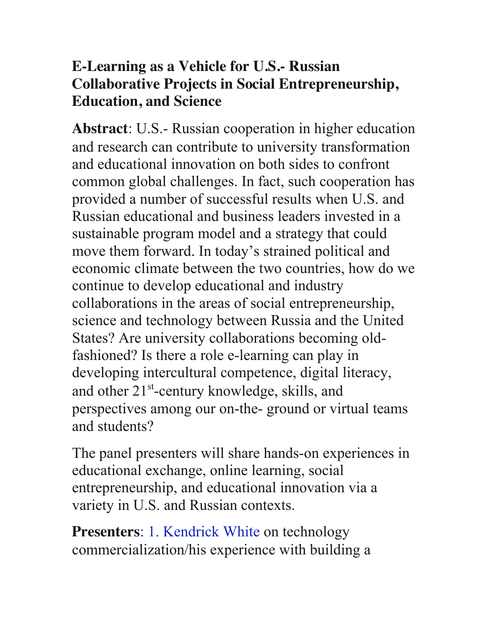## **E-Learning as a Vehicle for U.S.- Russian Collaborative Projects in Social Entrepreneurship, Education, and Science**

**Abstract**: U.S.- Russian cooperation in higher education and research can contribute to university transformation and educational innovation on both sides to confront common global challenges. In fact, such cooperation has provided a number of successful results when U.S. and Russian educational and business leaders invested in a sustainable program model and a strategy that could move them forward. In today's strained political and economic climate between the two countries, how do we continue to develop educational and industry collaborations in the areas of social entrepreneurship, science and technology between Russia and the United States? Are university collaborations becoming oldfashioned? Is there a role e-learning can play in developing intercultural competence, digital literacy, and other  $21<sup>st</sup>$ -century knowledge, skills, and perspectives among our on-the- ground or virtual teams and students?

The panel presenters will share hands-on experiences in educational exchange, online learning, social entrepreneurship, and educational innovation via a variety in U.S. and Russian contexts.

**Presenters**: 1. Kendrick White on technology commercialization/his experience with building a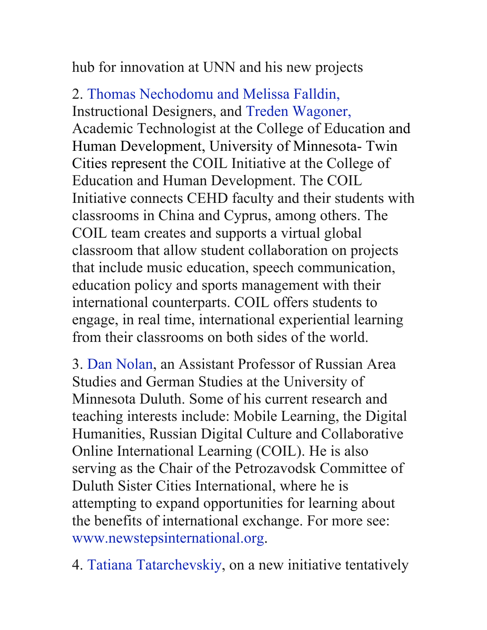hub for innovation at UNN and his new projects

2. Thomas Nechodomu and Melissa Falldin, Instructional Designers, and Treden Wagoner, Academic Technologist at the College of Education and Human Development, University of Minnesota- Twin Cities represent the COIL Initiative at the College of Education and Human Development. The COIL Initiative connects CEHD faculty and their students with classrooms in China and Cyprus, among others. The COIL team creates and supports a virtual global classroom that allow student collaboration on projects that include music education, speech communication, education policy and sports management with their international counterparts. COIL offers students to engage, in real time, international experiential learning from their classrooms on both sides of the world.

3. Dan Nolan, an Assistant Professor of Russian Area Studies and German Studies at the University of Minnesota Duluth. Some of his current research and teaching interests include: Mobile Learning, the Digital Humanities, Russian Digital Culture and Collaborative Online International Learning (COIL). He is also serving as the Chair of the Petrozavodsk Committee of Duluth Sister Cities International, where he is attempting to expand opportunities for learning about the benefits of international exchange. For more see: www.newstepsinternational.org.

4. Tatiana Tatarchevskiy, on a new initiative tentatively